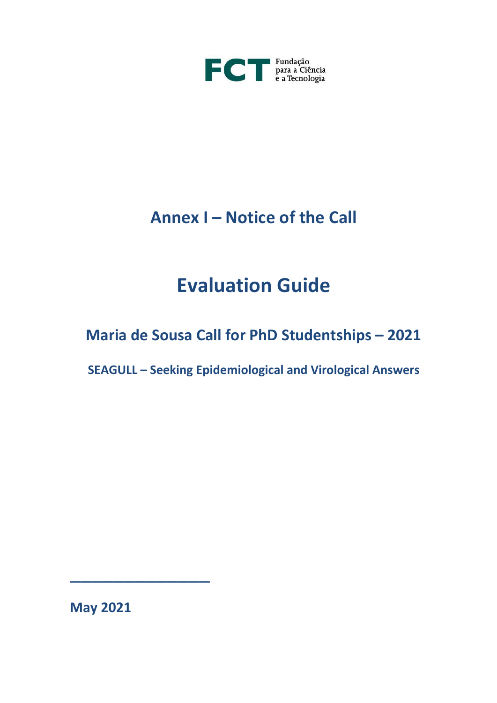

# **Annex I – Notice of the Call**

# **Evaluation Guide**

## **Maria de Sousa Call for PhD Studentships – 2021**

**SEAGULL – Seeking Epidemiological and Virological Answers**

**May 2021**

\_\_\_\_\_\_\_\_\_\_\_\_\_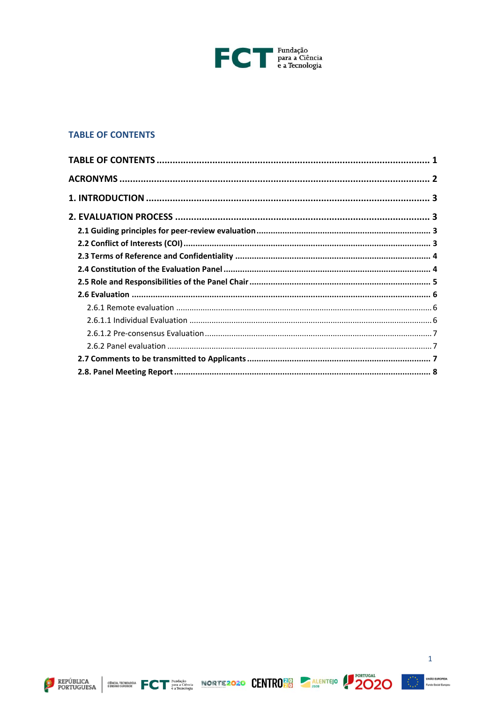

## <span id="page-1-0"></span>**TABLE OF CONTENTS**







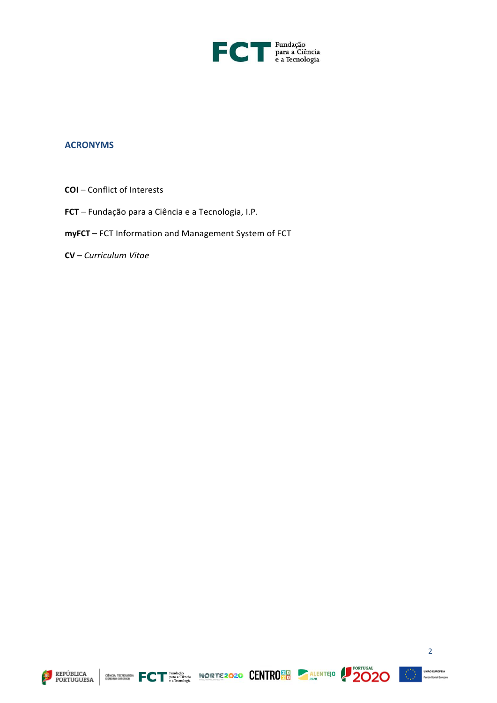

### <span id="page-2-0"></span>**ACRONYMS**

- **COI**  Conflict of Interests
- **FCT**  Fundação para a Ciência e a Tecnologia, I.P.
- **myFCT** FCT Information and Management System of FCT
- **CV**  *Curriculum Vitae*









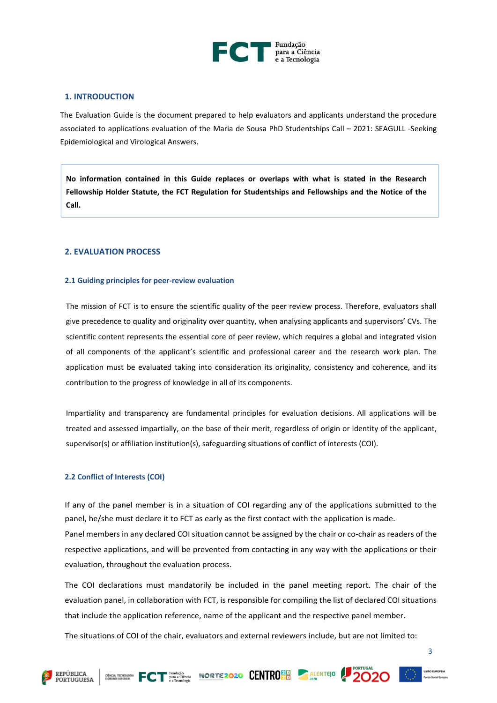

#### <span id="page-3-0"></span>**1. INTRODUCTION**

The Evaluation Guide is the document prepared to help evaluators and applicants understand the procedure associated to applications evaluation of the Maria de Sousa PhD Studentships Call – 2021: SEAGULL -Seeking Epidemiological and Virological Answers.

**No information contained in this Guide replaces or overlaps with what is stated in the Research Fellowship Holder Statute, the FCT Regulation for Studentships and Fellowships and the Notice of the Call.**

#### <span id="page-3-1"></span>**2. EVALUATION PROCESS**

#### <span id="page-3-2"></span>**2.1 Guiding principles for peer-review evaluation**

The mission of FCT is to ensure the scientific quality of the peer review process. Therefore, evaluators shall give precedence to quality and originality over quantity, when analysing applicants and supervisors' CVs. The scientific content represents the essential core of peer review, which requires a global and integrated vision of all components of the applicant's scientific and professional career and the research work plan. The application must be evaluated taking into consideration its originality, consistency and coherence, and its contribution to the progress of knowledge in all of its components.

Impartiality and transparency are fundamental principles for evaluation decisions. All applications will be treated and assessed impartially, on the base of their merit, regardless of origin or identity of the applicant, supervisor(s) or affiliation institution(s), safeguarding situations of conflict of interests (COI).

#### <span id="page-3-3"></span>**2.2 Conflict of Interests (COI)**

If any of the panel member is in a situation of COI regarding any of the applications submitted to the panel, he/she must declare it to FCT as early as the first contact with the application is made. Panel members in any declared COI situation cannot be assigned by the chair or co-chair as readers of the respective applications, and will be prevented from contacting in any way with the applications or their evaluation, throughout the evaluation process.

The COI declarations must mandatorily be included in the panel meeting report. The chair of the evaluation panel, in collaboration with FCT, is responsible for compiling the list of declared COI situations that include the application reference, name of the applicant and the respective panel member.

The situations of COI of the chair, evaluators and external reviewers include, but are not limited to:





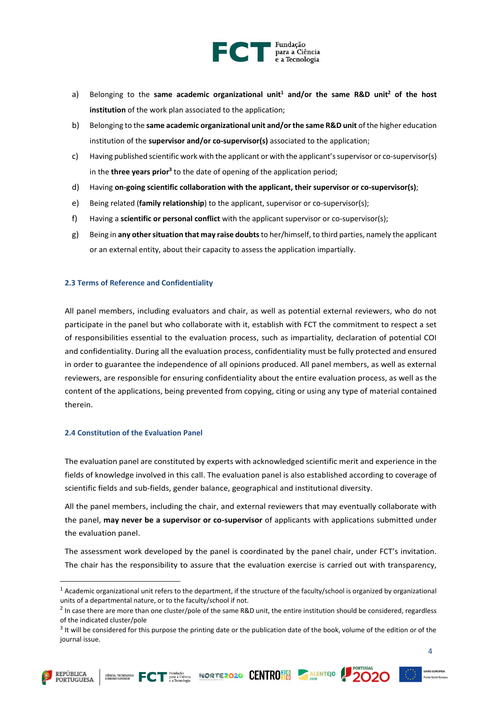

- a) Belonging to the **same academic organizational unit<sup>1</sup> and/or the same R&D unit<sup>2</sup> of the host institution** of the work plan associated to the application;
- b) Belonging to the **same academic organizational unit and/or the same R&D unit** of the higher education institution of the **supervisor and/or co-supervisor(s)** associated to the application;
- c) Having published scientific work with the applicant or with the applicant's supervisor or co-supervisor(s) in the **three years prior<sup>3</sup> t**o the date of opening of the application period;
- d) Having **on-going scientific collaboration with the applicant, their supervisor or co-supervisor(s)**;
- e) Being related (**family relationship**) to the applicant, supervisor or co-supervisor(s);
- f) Having a **scientific or personal conflict** with the applicant supervisor or co-supervisor(s);
- g) Being in **any other situation that may raise doubts** to her/himself, to third parties, namely the applicant or an external entity, about their capacity to assess the application impartially.

#### <span id="page-4-0"></span>**2.3 Terms of Reference and Confidentiality**

All panel members, including evaluators and chair, as well as potential external reviewers, who do not participate in the panel but who collaborate with it, establish with FCT the commitment to respect a set of responsibilities essential to the evaluation process, such as impartiality, declaration of potential COI and confidentiality. During all the evaluation process, confidentiality must be fully protected and ensured in order to guarantee the independence of all opinions produced. All panel members, as well as external reviewers, are responsible for ensuring confidentiality about the entire evaluation process, as well as the content of the applications, being prevented from copying, citing or using any type of material contained therein.

#### <span id="page-4-1"></span>**2.4 Constitution of the Evaluation Panel**

The evaluation panel are constituted by experts with acknowledged scientific merit and experience in the fields of knowledge involved in this call. The evaluation panel is also established according to coverage of scientific fields and sub-fields, gender balance, geographical and institutional diversity.

All the panel members, including the chair, and external reviewers that may eventually collaborate with the panel, **may never be a supervisor or co-supervisor** of applicants with applications submitted under the evaluation panel.

The assessment work developed by the panel is coordinated by the panel chair, under FCT's invitation. The chair has the responsibility to assure that the evaluation exercise is carried out with transparency,







 $1$  Academic organizational unit refers to the department, if the structure of the faculty/school is organized by organizational units of a departmental nature, or to the faculty/school if not.

 $<sup>2</sup>$  In case there are more than one cluster/pole of the same R&D unit, the entire institution should be considered, regardless</sup> of the indicated cluster/pole

<sup>&</sup>lt;sup>3</sup> It will be considered for this purpose the printing date or the publication date of the book, volume of the edition or of the journal issue.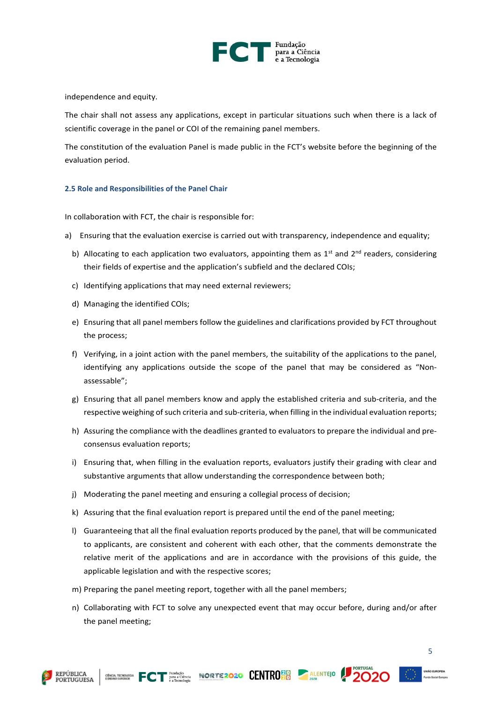

independence and equity.

The chair shall not assess any applications, except in particular situations such when there is a lack of scientific coverage in the panel or COI of the remaining panel members.

The constitution of the evaluation Panel is made public in the FCT's website before the beginning of the evaluation period.

#### <span id="page-5-0"></span>**2.5 Role and Responsibilities of the Panel Chair**

In collaboration with FCT, the chair is responsible for:

- a) Ensuring that the evaluation exercise is carried out with transparency, independence and equality;
	- b) Allocating to each application two evaluators, appointing them as  $1<sup>st</sup>$  and  $2<sup>nd</sup>$  readers, considering their fields of expertise and the application's subfield and the declared COIs;
	- c) Identifying applications that may need external reviewers;
	- d) Managing the identified COIs;
	- e) Ensuring that all panel members follow the guidelines and clarifications provided by FCT throughout the process;
	- f) Verifying, in a joint action with the panel members, the suitability of the applications to the panel, identifying any applications outside the scope of the panel that may be considered as "Nonassessable";
	- g) Ensuring that all panel members know and apply the established criteria and sub-criteria, and the respective weighing of such criteria and sub-criteria, when filling in the individual evaluation reports;
	- h) Assuring the compliance with the deadlines granted to evaluators to prepare the individual and preconsensus evaluation reports;
	- i) Ensuring that, when filling in the evaluation reports, evaluators justify their grading with clear and substantive arguments that allow understanding the correspondence between both;
	- j) Moderating the panel meeting and ensuring a collegial process of decision;
	- k) Assuring that the final evaluation report is prepared until the end of the panel meeting;
	- l) Guaranteeing that all the final evaluation reports produced by the panel, that will be communicated to applicants, are consistent and coherent with each other, that the comments demonstrate the relative merit of the applications and are in accordance with the provisions of this guide, the applicable legislation and with the respective scores;
	- m) Preparing the panel meeting report, together with all the panel members;
	- n) Collaborating with FCT to solve any unexpected event that may occur before, during and/or after the panel meeting;





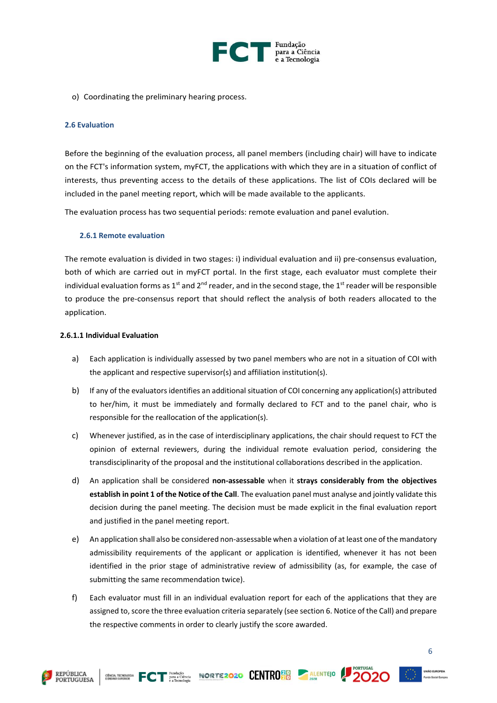

o) Coordinating the preliminary hearing process.

#### <span id="page-6-0"></span>**2.6 Evaluation**

Before the beginning of the evaluation process, all panel members (including chair) will have to indicate on the FCT's information system, myFCT, the applications with which they are in a situation of conflict of interests, thus preventing access to the details of these applications. The list of COIs declared will be included in the panel meeting report, which will be made available to the applicants.

<span id="page-6-1"></span>The evaluation process has two sequential periods: remote evaluation and panel evalution.

#### **2.6.1 Remote evaluation**

The remote evaluation is divided in two stages: i) individual evaluation and ii) pre-consensus evaluation, both of which are carried out in myFCT portal. In the first stage, each evaluator must complete their individual evaluation forms as 1<sup>st</sup> and 2<sup>nd</sup> reader, and in the second stage, the 1<sup>st</sup> reader will be responsible to produce the pre-consensus report that should reflect the analysis of both readers allocated to the application.

#### <span id="page-6-2"></span>**2.6.1.1 Individual Evaluation**

**REPÚBLICA PORTUGUESA** 

- a) Each application is individually assessed by two panel members who are not in a situation of COI with the applicant and respective supervisor(s) and affiliation institution(s).
- b) If any of the evaluators identifies an additional situation of COI concerning any application(s) attributed to her/him, it must be immediately and formally declared to FCT and to the panel chair, who is responsible for the reallocation of the application(s).
- c) Whenever justified, as in the case of interdisciplinary applications, the chair should request to FCT the opinion of external reviewers, during the individual remote evaluation period, considering the transdisciplinarity of the proposal and the institutional collaborations described in the application.
- d) An application shall be considered **non-assessable** when it **strays considerably from the objectives establish in point 1 of the Notice of the Call**. The evaluation panel must analyse and jointly validate this decision during the panel meeting. The decision must be made explicit in the final evaluation report and justified in the panel meeting report.
- e) An application shall also be considered non-assessable when a violation of at least one of the mandatory admissibility requirements of the applicant or application is identified, whenever it has not been identified in the prior stage of administrative review of admissibility (as, for example, the case of submitting the same recommendation twice).
- f) Each evaluator must fill in an individual evaluation report for each of the applications that they are assigned to, score the three evaluation criteria separately (see section 6. Notice of the Call) and prepare the respective comments in order to clearly justify the score awarded.

ENTROPODER FCT PRACTICIBOSITY NORTE2020 CENTRO 20 ALENTEJO 2000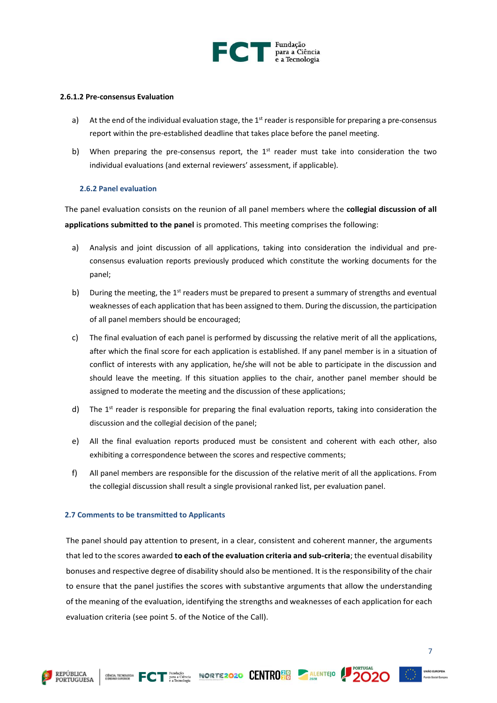

#### <span id="page-7-0"></span>**2.6.1.2 Pre-consensus Evaluation**

- a) At the end of the individual evaluation stage, the  $1<sup>st</sup>$  reader is responsible for preparing a pre-consensus report within the pre-established deadline that takes place before the panel meeting.
- b) When preparing the pre-consensus report, the  $1<sup>st</sup>$  reader must take into consideration the two individual evaluations (and external reviewers' assessment, if applicable).

#### <span id="page-7-1"></span>**2.6.2 Panel evaluation**

The panel evaluation consists on the reunion of all panel members where the **collegial discussion of all applications submitted to the panel** is promoted. This meeting comprises the following:

- a) Analysis and joint discussion of all applications, taking into consideration the individual and preconsensus evaluation reports previously produced which constitute the working documents for the panel;
- b) During the meeting, the  $1<sup>st</sup>$  readers must be prepared to present a summary of strengths and eventual weaknesses of each application that has been assigned to them. During the discussion, the participation of all panel members should be encouraged;
- c) The final evaluation of each panel is performed by discussing the relative merit of all the applications, after which the final score for each application is established. If any panel member is in a situation of conflict of interests with any application, he/she will not be able to participate in the discussion and should leave the meeting. If this situation applies to the chair, another panel member should be assigned to moderate the meeting and the discussion of these applications;
- d) The  $1<sup>st</sup>$  reader is responsible for preparing the final evaluation reports, taking into consideration the discussion and the collegial decision of the panel;
- e) All the final evaluation reports produced must be consistent and coherent with each other, also exhibiting a correspondence between the scores and respective comments;
- f) All panel members are responsible for the discussion of the relative merit of all the applications. From the collegial discussion shall result a single provisional ranked list, per evaluation panel.

#### <span id="page-7-2"></span>**2.7 Comments to be transmitted to Applicants**

The panel should pay attention to present, in a clear, consistent and coherent manner, the arguments that led to the scores awarded **to each of the evaluation criteria and sub-criteria**; the eventual disability bonuses and respective degree of disability should also be mentioned. It is the responsibility of the chair to ensure that the panel justifies the scores with substantive arguments that allow the understanding of the meaning of the evaluation, identifying the strengths and weaknesses of each application for each evaluation criteria (see point 5. of the Notice of the Call).